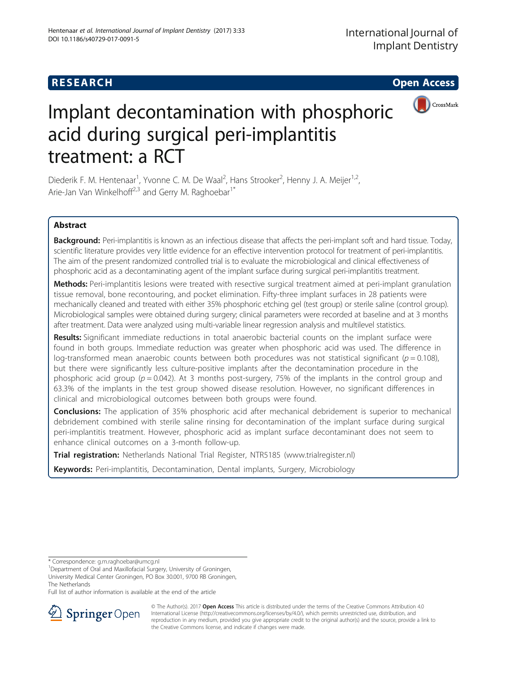# **RESEARCH CHEAR CHEAR CHEAR CHEAR CHEAR CHEAR CHEAR CHEAR CHEAR CHEAR CHEAR CHEAR CHEAR CHEAR CHEAR CHEAR CHEAR**



# Implant decontamination with phosphoric acid during surgical peri-implantitis treatment: a RCT

Diederik F. M. Hentenaar<sup>1</sup>, Yvonne C. M. De Waal<sup>2</sup>, Hans Strooker<sup>2</sup>, Henny J. A. Meijer<sup>1,2</sup>, Arie-Jan Van Winkelhoff<sup>2,3</sup> and Gerry M. Raghoebar<sup>1\*</sup>

# Abstract

Background: Peri-implantitis is known as an infectious disease that affects the peri-implant soft and hard tissue. Today, scientific literature provides very little evidence for an effective intervention protocol for treatment of peri-implantitis. The aim of the present randomized controlled trial is to evaluate the microbiological and clinical effectiveness of phosphoric acid as a decontaminating agent of the implant surface during surgical peri-implantitis treatment.

Methods: Peri-implantitis lesions were treated with resective surgical treatment aimed at peri-implant granulation tissue removal, bone recontouring, and pocket elimination. Fifty-three implant surfaces in 28 patients were mechanically cleaned and treated with either 35% phosphoric etching gel (test group) or sterile saline (control group). Microbiological samples were obtained during surgery; clinical parameters were recorded at baseline and at 3 months after treatment. Data were analyzed using multi-variable linear regression analysis and multilevel statistics.

Results: Significant immediate reductions in total anaerobic bacterial counts on the implant surface were found in both groups. Immediate reduction was greater when phosphoric acid was used. The difference in log-transformed mean anaerobic counts between both procedures was not statistical significant ( $p = 0.108$ ), but there were significantly less culture-positive implants after the decontamination procedure in the phosphoric acid group ( $p = 0.042$ ). At 3 months post-surgery, 75% of the implants in the control group and 63.3% of the implants in the test group showed disease resolution. However, no significant differences in clinical and microbiological outcomes between both groups were found.

**Conclusions:** The application of 35% phosphoric acid after mechanical debridement is superior to mechanical debridement combined with sterile saline rinsing for decontamination of the implant surface during surgical peri-implantitis treatment. However, phosphoric acid as implant surface decontaminant does not seem to enhance clinical outcomes on a 3-month follow-up.

Trial registration: Netherlands National Trial Register, NTR5185 (www.trialregister.nl)

Keywords: Peri-implantitis, Decontamination, Dental implants, Surgery, Microbiology

\* Correspondence: [g.m.raghoebar@umcg.nl](mailto:g.m.raghoebar@umcg.nl) <sup>1</sup>

<sup>1</sup>Department of Oral and Maxillofacial Surgery, University of Groningen, University Medical Center Groningen, PO Box 30.001, 9700 RB Groningen,

The Netherlands

Full list of author information is available at the end of the article



© The Author(s). 2017 **Open Access** This article is distributed under the terms of the Creative Commons Attribution 4.0 International License ([http://creativecommons.org/licenses/by/4.0/\)](http://creativecommons.org/licenses/by/4.0/), which permits unrestricted use, distribution, and reproduction in any medium, provided you give appropriate credit to the original author(s) and the source, provide a link to the Creative Commons license, and indicate if changes were made.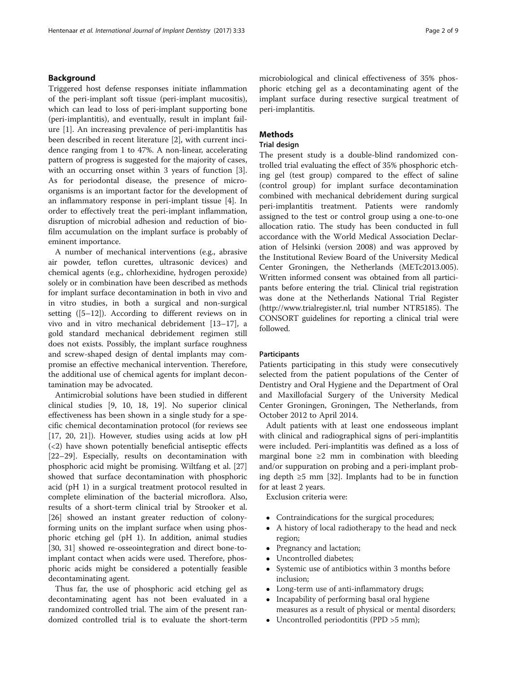# Background

Triggered host defense responses initiate inflammation of the peri-implant soft tissue (peri-implant mucositis), which can lead to loss of peri-implant supporting bone (peri-implantitis), and eventually, result in implant failure [[1\]](#page-7-0). An increasing prevalence of peri-implantitis has been described in recent literature [\[2](#page-7-0)], with current incidence ranging from 1 to 47%. A non-linear, accelerating pattern of progress is suggested for the majority of cases, with an occurring onset within 3 years of function [\[3](#page-7-0)]. As for periodontal disease, the presence of microorganisms is an important factor for the development of an inflammatory response in peri-implant tissue [\[4](#page-7-0)]. In order to effectively treat the peri-implant inflammation, disruption of microbial adhesion and reduction of biofilm accumulation on the implant surface is probably of eminent importance.

A number of mechanical interventions (e.g., abrasive air powder, teflon curettes, ultrasonic devices) and chemical agents (e.g., chlorhexidine, hydrogen peroxide) solely or in combination have been described as methods for implant surface decontamination in both in vivo and in vitro studies, in both a surgical and non-surgical setting  $([5-12])$  $([5-12])$  $([5-12])$  $([5-12])$  $([5-12])$ . According to different reviews on in vivo and in vitro mechanical debridement [[13](#page-7-0)–[17](#page-7-0)], a gold standard mechanical debridement regimen still does not exists. Possibly, the implant surface roughness and screw-shaped design of dental implants may compromise an effective mechanical intervention. Therefore, the additional use of chemical agents for implant decontamination may be advocated.

Antimicrobial solutions have been studied in different clinical studies [[9, 10](#page-7-0), [18, 19](#page-7-0)]. No superior clinical effectiveness has been shown in a single study for a specific chemical decontamination protocol (for reviews see [[17, 20, 21\]](#page-7-0)). However, studies using acids at low pH (<2) have shown potentially beneficial antiseptic effects [[22](#page-7-0)–[29](#page-8-0)]. Especially, results on decontamination with phosphoric acid might be promising. Wiltfang et al. [[27](#page-8-0)] showed that surface decontamination with phosphoric acid (pH 1) in a surgical treatment protocol resulted in complete elimination of the bacterial microflora. Also, results of a short-term clinical trial by Strooker et al. [[26\]](#page-8-0) showed an instant greater reduction of colonyforming units on the implant surface when using phosphoric etching gel (pH 1). In addition, animal studies [[30, 31](#page-8-0)] showed re-osseointegration and direct bone-toimplant contact when acids were used. Therefore, phosphoric acids might be considered a potentially feasible decontaminating agent.

Thus far, the use of phosphoric acid etching gel as decontaminating agent has not been evaluated in a randomized controlled trial. The aim of the present randomized controlled trial is to evaluate the short-term

# **Methods**

# Trial design

peri-implantitis.

The present study is a double-blind randomized controlled trial evaluating the effect of 35% phosphoric etching gel (test group) compared to the effect of saline (control group) for implant surface decontamination combined with mechanical debridement during surgical peri-implantitis treatment. Patients were randomly assigned to the test or control group using a one-to-one allocation ratio. The study has been conducted in full accordance with the World Medical Association Declaration of Helsinki (version 2008) and was approved by the Institutional Review Board of the University Medical Center Groningen, the Netherlands (METc2013.005). Written informed consent was obtained from all participants before entering the trial. Clinical trial registration was done at the Netherlands National Trial Register ([http://www.trialregister.nl](http://www.trialregister.nl/), trial number NTR5185). The CONSORT guidelines for reporting a clinical trial were followed.

# **Participants**

Patients participating in this study were consecutively selected from the patient populations of the Center of Dentistry and Oral Hygiene and the Department of Oral and Maxillofacial Surgery of the University Medical Center Groningen, Groningen, The Netherlands, from October 2012 to April 2014.

Adult patients with at least one endosseous implant with clinical and radiographical signs of peri-implantitis were included. Peri-implantitis was defined as a loss of marginal bone  $\geq 2$  mm in combination with bleeding and/or suppuration on probing and a peri-implant probing depth ≥5 mm [\[32](#page-8-0)]. Implants had to be in function for at least 2 years.

Exclusion criteria were:

- Contraindications for the surgical procedures;
- A history of local radiotherapy to the head and neck region;
- Pregnancy and lactation;
- Uncontrolled diabetes;
- Systemic use of antibiotics within 3 months before inclusion;
- Long-term use of anti-inflammatory drugs;
- Incapability of performing basal oral hygiene measures as a result of physical or mental disorders;
- Uncontrolled periodontitis (PPD > 5 mm);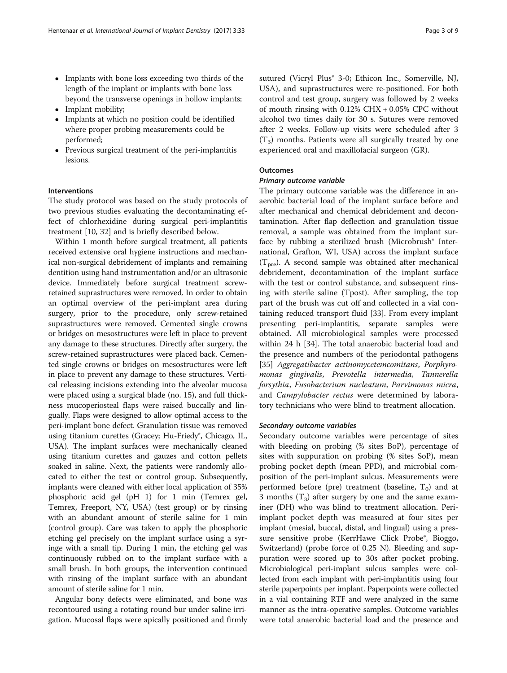- Implants with bone loss exceeding two thirds of the length of the implant or implants with bone loss beyond the transverse openings in hollow implants;
- Implant mobility;
- Implants at which no position could be identified where proper probing measurements could be performed;
- Previous surgical treatment of the peri-implantitis lesions.

# Interventions

The study protocol was based on the study protocols of two previous studies evaluating the decontaminating effect of chlorhexidine during surgical peri-implantitis treatment [[10,](#page-7-0) [32\]](#page-8-0) and is briefly described below.

Within 1 month before surgical treatment, all patients received extensive oral hygiene instructions and mechanical non-surgical debridement of implants and remaining dentition using hand instrumentation and/or an ultrasonic device. Immediately before surgical treatment screwretained suprastructures were removed. In order to obtain an optimal overview of the peri-implant area during surgery, prior to the procedure, only screw-retained suprastructures were removed. Cemented single crowns or bridges on mesostructures were left in place to prevent any damage to these structures. Directly after surgery, the screw-retained suprastructures were placed back. Cemented single crowns or bridges on mesostructures were left in place to prevent any damage to these structures. Vertical releasing incisions extending into the alveolar mucosa were placed using a surgical blade (no. 15), and full thickness mucoperiosteal flaps were raised buccally and lingually. Flaps were designed to allow optimal access to the peri-implant bone defect. Granulation tissue was removed using titanium curettes (Gracey; Hu-Friedy®, Chicago, IL, USA). The implant surfaces were mechanically cleaned using titanium curettes and gauzes and cotton pellets soaked in saline. Next, the patients were randomly allocated to either the test or control group. Subsequently, implants were cleaned with either local application of 35% phosphoric acid gel (pH 1) for 1 min (Temrex gel, Temrex, Freeport, NY, USA) (test group) or by rinsing with an abundant amount of sterile saline for 1 min (control group). Care was taken to apply the phosphoric etching gel precisely on the implant surface using a syringe with a small tip. During 1 min, the etching gel was continuously rubbed on to the implant surface with a small brush. In both groups, the intervention continued with rinsing of the implant surface with an abundant amount of sterile saline for 1 min.

Angular bony defects were eliminated, and bone was recontoured using a rotating round bur under saline irrigation. Mucosal flaps were apically positioned and firmly sutured (Vicryl Plus<sup>®</sup> 3-0; Ethicon Inc., Somerville, NJ, USA), and suprastructures were re-positioned. For both control and test group, surgery was followed by 2 weeks of mouth rinsing with  $0.12\%$  CHX  $+0.05\%$  CPC without alcohol two times daily for 30 s. Sutures were removed after 2 weeks. Follow-up visits were scheduled after 3  $(T_3)$  months. Patients were all surgically treated by one experienced oral and maxillofacial surgeon (GR).

# **Outcomes**

# Primary outcome variable

The primary outcome variable was the difference in anaerobic bacterial load of the implant surface before and after mechanical and chemical debridement and decontamination. After flap deflection and granulation tissue removal, a sample was obtained from the implant surface by rubbing a sterilized brush (Microbrush<sup>®</sup> International, Grafton, WI, USA) across the implant surface  $(T<sub>pre</sub>)$ . A second sample was obtained after mechanical debridement, decontamination of the implant surface with the test or control substance, and subsequent rinsing with sterile saline (Tpost). After sampling, the top part of the brush was cut off and collected in a vial containing reduced transport fluid [\[33](#page-8-0)]. From every implant presenting peri-implantitis, separate samples were obtained. All microbiological samples were processed within 24 h [\[34\]](#page-8-0). The total anaerobic bacterial load and the presence and numbers of the periodontal pathogens [[35\]](#page-8-0) Aggregatibacter actinomycetemcomitans, Porphyromonas gingivalis, Prevotella intermedia, Tannerella forsythia, Fusobacterium nucleatum, Parvimonas micra, and Campylobacter rectus were determined by laboratory technicians who were blind to treatment allocation.

# Secondary outcome variables

Secondary outcome variables were percentage of sites with bleeding on probing (% sites BoP), percentage of sites with suppuration on probing (% sites SoP), mean probing pocket depth (mean PPD), and microbial composition of the peri-implant sulcus. Measurements were performed before (pre) treatment (baseline,  $T_0$ ) and at 3 months  $(T_3)$  after surgery by one and the same examiner (DH) who was blind to treatment allocation. Periimplant pocket depth was measured at four sites per implant (mesial, buccal, distal, and lingual) using a pressure sensitive probe (KerrHawe Click Probe®, Bioggo, Switzerland) (probe force of 0.25 N). Bleeding and suppuration were scored up to 30s after pocket probing. Microbiological peri-implant sulcus samples were collected from each implant with peri-implantitis using four sterile paperpoints per implant. Paperpoints were collected in a vial containing RTF and were analyzed in the same manner as the intra-operative samples. Outcome variables were total anaerobic bacterial load and the presence and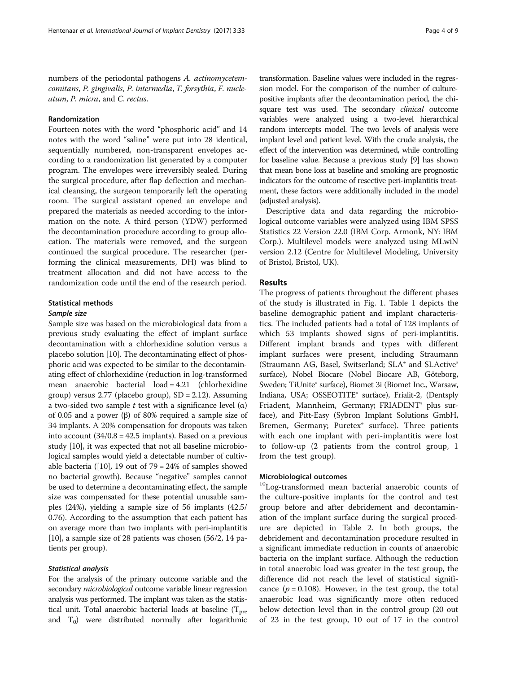numbers of the periodontal pathogens A. actinomycetemcomitans, P. gingivalis, P. intermedia, T. forsythia, F. nucleatum, P. micra, and C. rectus.

# Randomization

Fourteen notes with the word "phosphoric acid" and 14 notes with the word "saline" were put into 28 identical, sequentially numbered, non-transparent envelopes according to a randomization list generated by a computer program. The envelopes were irreversibly sealed. During the surgical procedure, after flap deflection and mechanical cleansing, the surgeon temporarily left the operating room. The surgical assistant opened an envelope and prepared the materials as needed according to the information on the note. A third person (YDW) performed the decontamination procedure according to group allocation. The materials were removed, and the surgeon continued the surgical procedure. The researcher (performing the clinical measurements, DH) was blind to treatment allocation and did not have access to the randomization code until the end of the research period.

# Statistical methods

# Sample size

Sample size was based on the microbiological data from a previous study evaluating the effect of implant surface decontamination with a chlorhexidine solution versus a placebo solution [[10](#page-7-0)]. The decontaminating effect of phosphoric acid was expected to be similar to the decontaminating effect of chlorhexidine (reduction in log-transformed mean anaerobic bacterial load = 4.21 (chlorhexidine group) versus  $2.77$  (placebo group),  $SD = 2.12$ ). Assuming a two-sided two sample t test with a significance level  $(\alpha)$ of 0.05 and a power (β) of 80% required a sample size of 34 implants. A 20% compensation for dropouts was taken into account (34/0.8 = 42.5 implants). Based on a previous study [\[10](#page-7-0)], it was expected that not all baseline microbiological samples would yield a detectable number of cultiv-able bacteria ([\[10\]](#page-7-0), 19 out of  $79 = 24\%$  of samples showed no bacterial growth). Because "negative" samples cannot be used to determine a decontaminating effect, the sample size was compensated for these potential unusable samples (24%), yielding a sample size of 56 implants (42.5/ 0.76). According to the assumption that each patient has on average more than two implants with peri-implantitis [[10](#page-7-0)], a sample size of 28 patients was chosen (56/2, 14 patients per group).

# Statistical analysis

For the analysis of the primary outcome variable and the secondary *microbiological* outcome variable linear regression analysis was performed. The implant was taken as the statistical unit. Total anaerobic bacterial loads at baseline  $(T_{pre}$ and  $T_0$ ) were distributed normally after logarithmic transformation. Baseline values were included in the regression model. For the comparison of the number of culturepositive implants after the decontamination period, the chisquare test was used. The secondary *clinical* outcome variables were analyzed using a two-level hierarchical random intercepts model. The two levels of analysis were implant level and patient level. With the crude analysis, the effect of the intervention was determined, while controlling for baseline value. Because a previous study [\[9\]](#page-7-0) has shown that mean bone loss at baseline and smoking are prognostic indicators for the outcome of resective peri-implantitis treatment, these factors were additionally included in the model (adjusted analysis).

Descriptive data and data regarding the microbiological outcome variables were analyzed using IBM SPSS Statistics 22 Version 22.0 (IBM Corp. Armonk, NY: IBM Corp.). Multilevel models were analyzed using MLwiN version 2.12 (Centre for Multilevel Modeling, University of Bristol, Bristol, UK).

# Results

The progress of patients throughout the different phases of the study is illustrated in Fig. [1](#page-4-0). Table [1](#page-4-0) depicts the baseline demographic patient and implant characteristics. The included patients had a total of 128 implants of which 53 implants showed signs of peri-implantitis. Different implant brands and types with different implant surfaces were present, including Straumann (Straumann AG, Basel, Switserland; SLA® and SLActive® surface), Nobel Biocare (Nobel Biocare AB, Göteborg, Sweden; TiUnite® surface), Biomet 3i (Biomet Inc., Warsaw, Indiana, USA; OSSEOTITE® surface), Frialit-2, (Dentsply Friadent, Mannheim, Germany; FRIADENT® plus surface), and Pitt-Easy (Sybron Implant Solutions GmbH, Bremen, Germany; Puretex® surface). Three patients with each one implant with peri-implantitis were lost to follow-up (2 patients from the control group, 1 from the test group).

# Microbiological outcomes

<sup>10</sup>Log-transformed mean bacterial anaerobic counts of the culture-positive implants for the control and test group before and after debridement and decontamination of the implant surface during the surgical procedure are depicted in Table [2.](#page-5-0) In both groups, the debridement and decontamination procedure resulted in a significant immediate reduction in counts of anaerobic bacteria on the implant surface. Although the reduction in total anaerobic load was greater in the test group, the difference did not reach the level of statistical significance ( $p = 0.108$ ). However, in the test group, the total anaerobic load was significantly more often reduced below detection level than in the control group (20 out of 23 in the test group, 10 out of 17 in the control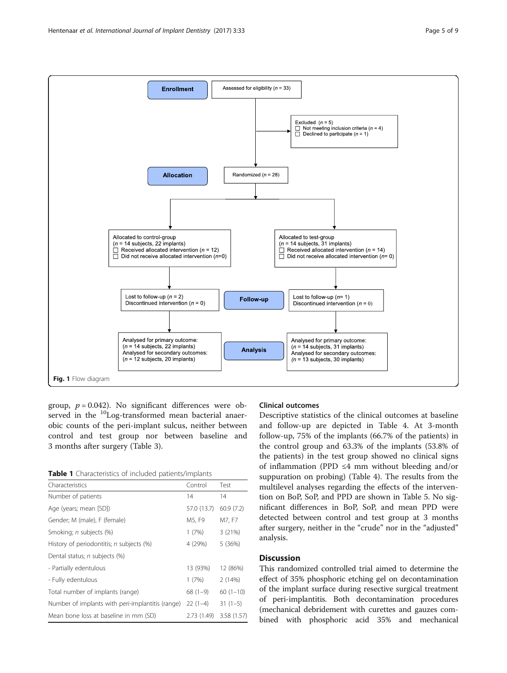<span id="page-4-0"></span>

group,  $p = 0.042$ ). No significant differences were observed in the <sup>10</sup>Log-transformed mean bacterial anaerobic counts of the peri-implant sulcus, neither between control and test group nor between baseline and 3 months after surgery (Table [3](#page-5-0)).

Table 1 Characteristics of included patients/implants

| Characteristics                                  | Control     | Test        |
|--------------------------------------------------|-------------|-------------|
| Number of patients                               | 14          | 14          |
| Age (years; mean [SD])                           | 57.0 (13.7) | 60.9(7.2)   |
| Gender; M (male), F (female)                     | M5, F9      | M7, F7      |
| Smoking; <i>n</i> subjects (%)                   | 1(7%)       | 3(21%)      |
| History of periodontitis; n subjects (%)         | 4 (29%)     | 5(36%)      |
| Dental status; <i>n</i> subjects (%)             |             |             |
| - Partially edentulous                           | 13 (93%)    | 12 (86%)    |
| - Fully edentulous                               | 1(7%)       | 2(14%)      |
| Total number of implants (range)                 | $68(1-9)$   | $60(1-10)$  |
| Number of implants with peri-implantitis (range) | $22(1-4)$   | $31(1-5)$   |
| Mean bone loss at baseline in mm (SD)            | 2.73(1.49)  | 3.58 (1.57) |

# Clinical outcomes

Descriptive statistics of the clinical outcomes at baseline and follow-up are depicted in Table [4](#page-6-0). At 3-month follow-up, 75% of the implants (66.7% of the patients) in the control group and 63.3% of the implants (53.8% of the patients) in the test group showed no clinical signs of inflammation (PPD ≤4 mm without bleeding and/or suppuration on probing) (Table [4\)](#page-6-0). The results from the multilevel analyses regarding the effects of the intervention on BoP, SoP, and PPD are shown in Table [5](#page-6-0). No significant differences in BoP, SoP, and mean PPD were detected between control and test group at 3 months after surgery, neither in the "crude" nor in the "adjusted" analysis.

# **Discussion**

This randomized controlled trial aimed to determine the effect of 35% phosphoric etching gel on decontamination of the implant surface during resective surgical treatment of peri-implantitis. Both decontamination procedures (mechanical debridement with curettes and gauzes combined with phosphoric acid 35% and mechanical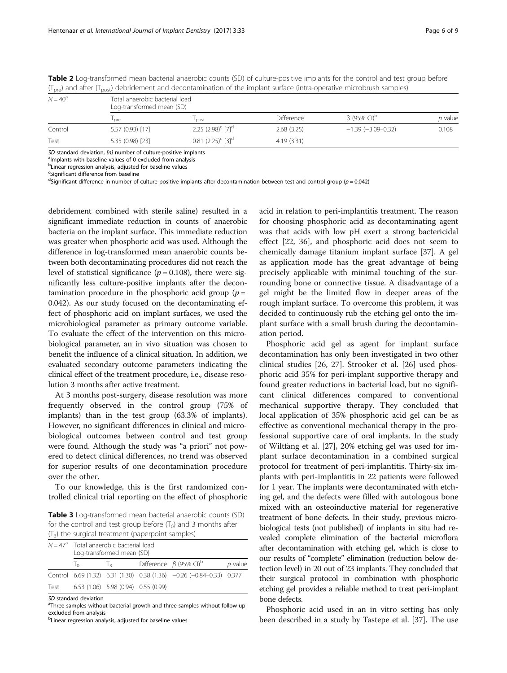| $N = 40^{\circ}$ | Total anaerobic bacterial load<br>Log-transformed mean (SD) |                                  |                   |                               |         |  |
|------------------|-------------------------------------------------------------|----------------------------------|-------------------|-------------------------------|---------|--|
|                  | l pre                                                       | l post                           | <b>Difference</b> | $\beta$ (95% CI) <sup>b</sup> | p value |  |
| Control          | 5.57 (0.93) [17]                                            | 2.25 $(2.98)^c$ [7] <sup>d</sup> | 2.68(3.25)        | $-1.39$ ( $-3.09-0.32$ )      | 0.108   |  |
| Test             | 5.35 (0.98) [23]                                            | $0.81(2.25)^c$ [3] <sup>d</sup>  | 4.19(3.31)        |                               |         |  |

<span id="page-5-0"></span>Table 2 Log-transformed mean bacterial anaerobic counts (SD) of culture-positive implants for the control and test group before  $(T_{\text{pre}})$  and after  $(T_{\text{post}})$  debridement and decontamination of the implant surface (intra-operative microbrush samples)

SD standard deviation,  $[n]$  number of culture-positive implants

<sup>a</sup>lmplants with baseline values of 0 excluded from analysis

<sup>b</sup>Linear regression analysis, adjusted for baseline values

<sup>c</sup>Significant difference from baseline

<sup>d</sup>Significant difference in number of culture-positive implants after decontamination between test and control group (p = 0.042)

debridement combined with sterile saline) resulted in a significant immediate reduction in counts of anaerobic bacteria on the implant surface. This immediate reduction was greater when phosphoric acid was used. Although the difference in log-transformed mean anaerobic counts between both decontaminating procedures did not reach the level of statistical significance ( $p = 0.108$ ), there were significantly less culture-positive implants after the decontamination procedure in the phosphoric acid group ( $p =$ 0.042). As our study focused on the decontaminating effect of phosphoric acid on implant surfaces, we used the microbiological parameter as primary outcome variable. To evaluate the effect of the intervention on this microbiological parameter, an in vivo situation was chosen to benefit the influence of a clinical situation. In addition, we evaluated secondary outcome parameters indicating the clinical effect of the treatment procedure, i.e., disease resolution 3 months after active treatment.

At 3 months post-surgery, disease resolution was more frequently observed in the control group (75% of implants) than in the test group (63.3% of implants). However, no significant differences in clinical and microbiological outcomes between control and test group were found. Although the study was "a priori" not powered to detect clinical differences, no trend was observed for superior results of one decontamination procedure over the other.

To our knowledge, this is the first randomized controlled clinical trial reporting on the effect of phosphoric

Table 3 Log-transformed mean bacterial anaerobic counts (SD) for the control and test group before  $(T_0)$  and 3 months after  $(T_3)$  the surgical treatment (paperpoint samples)

|      | $N = 47a$ Total anaerobic bacterial load<br>Log-transformed mean (SD) |                                          |  |                                                                      |           |
|------|-----------------------------------------------------------------------|------------------------------------------|--|----------------------------------------------------------------------|-----------|
|      | $T_0$                                                                 | $\frac{1}{2}$                            |  | Difference $\beta$ (95% CI) <sup>b</sup>                             | $p$ value |
|      |                                                                       |                                          |  | Control 6.69 (1.32) 6.31 (1.30) 0.38 (1.36) -0.26 (-0.84-0.33) 0.377 |           |
| Test |                                                                       | $6.53(1.06)$ 5.98 $(0.94)$ 0.55 $(0.99)$ |  |                                                                      |           |

SD standard deviation

<sup>a</sup>Three samples without bacterial growth and three samples without follow-up excluded from analysis

<sup>b</sup>Linear regression analysis, adjusted for baseline values

acid in relation to peri-implantitis treatment. The reason for choosing phosphoric acid as decontaminating agent was that acids with low pH exert a strong bactericidal effect [[22,](#page-7-0) [36](#page-8-0)], and phosphoric acid does not seem to chemically damage titanium implant surface [\[37\]](#page-8-0). A gel as application mode has the great advantage of being precisely applicable with minimal touching of the surrounding bone or connective tissue. A disadvantage of a gel might be the limited flow in deeper areas of the rough implant surface. To overcome this problem, it was decided to continuously rub the etching gel onto the implant surface with a small brush during the decontamination period.

Phosphoric acid gel as agent for implant surface decontamination has only been investigated in two other clinical studies [\[26, 27\]](#page-8-0). Strooker et al. [[26](#page-8-0)] used phosphoric acid 35% for peri-implant supportive therapy and found greater reductions in bacterial load, but no significant clinical differences compared to conventional mechanical supportive therapy. They concluded that local application of 35% phosphoric acid gel can be as effective as conventional mechanical therapy in the professional supportive care of oral implants. In the study of Wiltfang et al. [[27](#page-8-0)], 20% etching gel was used for implant surface decontamination in a combined surgical protocol for treatment of peri-implantitis. Thirty-six implants with peri-implantitis in 22 patients were followed for 1 year. The implants were decontaminated with etching gel, and the defects were filled with autologous bone mixed with an osteoinductive material for regenerative treatment of bone defects. In their study, previous microbiological tests (not published) of implants in situ had revealed complete elimination of the bacterial microflora after decontamination with etching gel, which is close to our results of "complete" elimination (reduction below detection level) in 20 out of 23 implants. They concluded that their surgical protocol in combination with phosphoric etching gel provides a reliable method to treat peri-implant bone defects.

Phosphoric acid used in an in vitro setting has only been described in a study by Tastepe et al. [\[37](#page-8-0)]. The use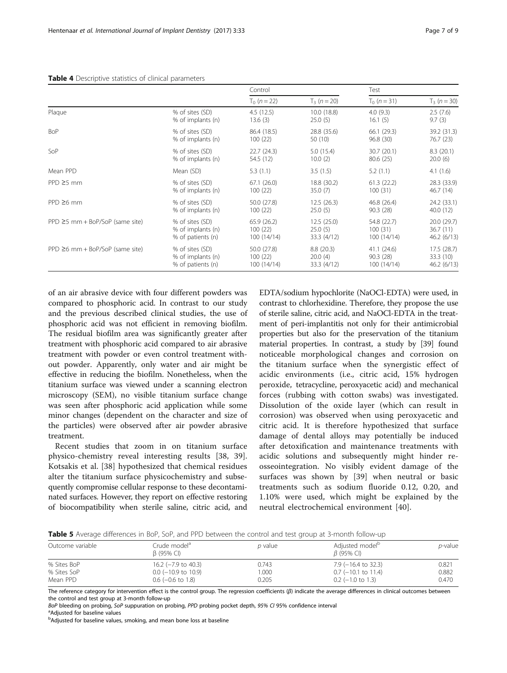# <span id="page-6-0"></span>Table 4 Descriptive statistics of clinical parameters

Plaque % of sites (SD)

PPD ≥6 mm + BoP/SoP (same site) % of sites (SD)

| <b>BoP</b>                           | % of sites (SD)   | 86.4 (18.5) | 28.8 (35.6) | 66.1 (29.3) | 39.2 (31    |
|--------------------------------------|-------------------|-------------|-------------|-------------|-------------|
|                                      | % of implants (n) | 100(22)     | 50 (10)     | 96.8(30)    | 76.7 (23    |
| SoP                                  | % of sites (SD)   | 22.7(24.3)  | 5.0(15.4)   | 30.7(20.1)  | 8.3 (20.    |
|                                      | % of implants (n) | 54.5 (12)   | 10.0(2)     | 80.6(25)    | 20.0(6)     |
| Mean PPD                             | Mean (SD)         | 5.3(1.1)    | 3.5(1.5)    | 5.2(1.1)    | 4.1(1.6)    |
| $PPD \ge 5$ mm                       | % of sites (SD)   | 67.1(26.0)  | 18.8 (30.2) | 61.3(22.2)  | 28.3 (33    |
|                                      | % of implants (n) | 100(22)     | 35.0(7)     | 100(31)     | 46.7 $(14)$ |
| $PPD \geq 6$ mm                      | % of sites (SD)   | 50.0 (27.8) | 12.5(26.3)  | 46.8 (26.4) | 24.2 (33    |
|                                      | % of implants (n) | 100(22)     | 25.0(5)     | 90.3(28)    | 40.0(12)    |
| $PPD \ge 5$ mm + BoP/SoP (same site) | % of sites (SD)   | 65.9(26.2)  | 12.5(25.0)  | 54.8 (22.7) | 20.0 (29    |

4.5 (12.5) 13.6 (3)

100 (22) 100 (14/14)

50.0 (27.8) 100 (22) 100 (14/14)

% of implants (n)

% of implants (n) % of patients (n)

% of implants (n) % of patients (n)

Control Test

10.0 (18.8)  $25.0(5)$ 

25.0 (5) 33.3 (4/12)

8.8 (20.3) 20.0 (4) 33.3 (4/12)

 $T_0$  (n = 22)  $T_3$  (n = 20)  $T_0$  (n = 31)  $T_3$  (n = 30)

4.0 (9.3) 16.1 (5)

100 (31) 100 (14/14)

41.1 (24.6) 90.3 (28) 100 (14/14)

of an air abrasive device with four different powders was compared to phosphoric acid. In contrast to our study and the previous described clinical studies, the use of phosphoric acid was not efficient in removing biofilm. The residual biofilm area was significantly greater after treatment with phosphoric acid compared to air abrasive treatment with powder or even control treatment without powder. Apparently, only water and air might be effective in reducing the biofilm. Nonetheless, when the titanium surface was viewed under a scanning electron microscopy (SEM), no visible titanium surface change was seen after phosphoric acid application while some minor changes (dependent on the character and size of the particles) were observed after air powder abrasive treatment.

Recent studies that zoom in on titanium surface physico-chemistry reveal interesting results [[38, 39](#page-8-0)]. Kotsakis et al. [\[38](#page-8-0)] hypothesized that chemical residues alter the titanium surface physicochemistry and subsequently compromise cellular response to these decontaminated surfaces. However, they report on effective restoring of biocompatibility when sterile saline, citric acid, and

EDTA/sodium hypochlorite (NaOCl-EDTA) were used, in contrast to chlorhexidine. Therefore, they propose the use of sterile saline, citric acid, and NaOCl-EDTA in the treatment of peri-implantitis not only for their antimicrobial properties but also for the preservation of the titanium material properties. In contrast, a study by [\[39\]](#page-8-0) found noticeable morphological changes and corrosion on the titanium surface when the synergistic effect of acidic environments (i.e., citric acid, 15% hydrogen peroxide, tetracycline, peroxyacetic acid) and mechanical forces (rubbing with cotton swabs) was investigated. Dissolution of the oxide layer (which can result in corrosion) was observed when using peroxyacetic and citric acid. It is therefore hypothesized that surface damage of dental alloys may potentially be induced after detoxification and maintenance treatments with acidic solutions and subsequently might hinder reosseointegration. No visibly evident damage of the surfaces was shown by [[39\]](#page-8-0) when neutral or basic treatments such as sodium fluoride 0.12, 0.20, and 1.10% were used, which might be explained by the neutral electrochemical environment [[40](#page-8-0)].

**Table 5** Average differences in BoP, SoP, and PPD between the control and test group at 3-month follow-up

| Outcome variable | Crude modelª<br>$\beta$ (95% CI) | p value | Adjusted model <sup>p</sup><br>$\beta$ (95% CI) | <i>p</i> -value |
|------------------|----------------------------------|---------|-------------------------------------------------|-----------------|
| % Sites BoP      | $16.2$ (-7.9 to 40.3)            | 0.743   | 7.9 (–16.4 to 32.3)                             | 0.821           |
| % Sites SoP      | $0.0$ (-10.9 to 10.9)            | .000    | $0.7$ (-10.1 to 11.4)                           | 0.882           |
| Mean PPD         | $0.6$ (-0.6 to 1.8)              | 0.205   | $0.2$ (-1.0 to 1.3)                             | 0.470           |

The reference category for intervention effect is the control group. The regression coefficients (β) indicate the average differences in clinical outcomes between the control and test group at 3-month follow-up

BoP bleeding on probing, SoP suppuration on probing, PPD probing pocket depth, 95% CI 95% confidence interval

<sup>a</sup>Adjusted for baseline values

<sup>b</sup>Adjusted for baseline values, smoking, and mean bone loss at baseline

2.5 (7.6) 9.7 (3)

39.2 (31.3) 76.7 (23)

8.3 (20.1) 20.0 (6)

28.3 (33.9) 46.7 (14)

24.2 (33.1) 40.0 (12)

20.0 (29.7) 36.7 (11) 46.2 (6/13)

17.5 (28.7) 33.3 (10) 46.2 (6/13)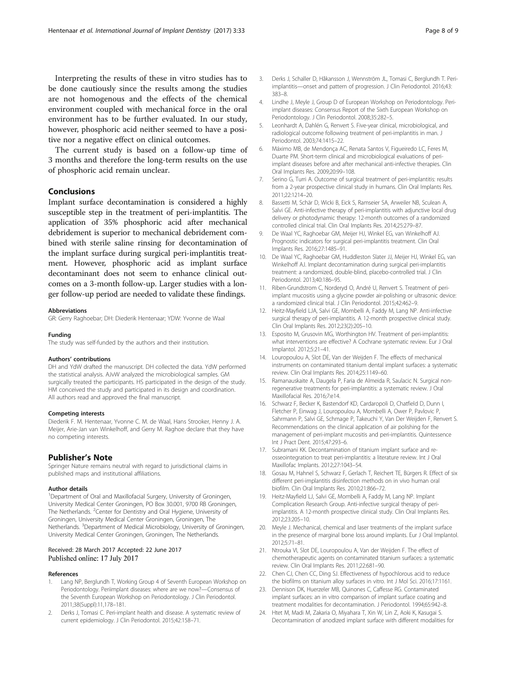<span id="page-7-0"></span>Interpreting the results of these in vitro studies has to be done cautiously since the results among the studies are not homogenous and the effects of the chemical environment coupled with mechanical force in the oral environment has to be further evaluated. In our study, however, phosphoric acid neither seemed to have a positive nor a negative effect on clinical outcomes.

The current study is based on a follow-up time of 3 months and therefore the long-term results on the use of phosphoric acid remain unclear.

# **Conclusions**

Implant surface decontamination is considered a highly susceptible step in the treatment of peri-implantitis. The application of 35% phosphoric acid after mechanical debridement is superior to mechanical debridement combined with sterile saline rinsing for decontamination of the implant surface during surgical peri-implantitis treatment. However, phosphoric acid as implant surface decontaminant does not seem to enhance clinical outcomes on a 3-month follow-up. Larger studies with a longer follow-up period are needed to validate these findings.

### Abbreviations

GR: Gerry Raghoebar; DH: Diederik Hentenaar; YDW: Yvonne de Waal

Funding The study was self-funded by the authors and their institution.

#### Authors' contributions

DH and YdW drafted the manuscript. DH collected the data. YdW performed the statistical analysis. AJvW analyzed the microbiological samples. GM surgically treated the participants. HS participated in the design of the study. HM conceived the study and participated in its design and coordination. All authors read and approved the final manuscript.

#### Competing interests

Diederik F. M. Hentenaar, Yvonne C. M. de Waal, Hans Strooker, Henny J. A. Meijer, Arie-Jan van Winkelhoff, and Gerry M. Raghoe declare that they have no competing interests.

# Publisher's Note

Springer Nature remains neutral with regard to jurisdictional claims in published maps and institutional affiliations.

### Author details

<sup>1</sup>Department of Oral and Maxillofacial Surgery, University of Groningen, University Medical Center Groningen, PO Box 30.001, 9700 RB Groningen, The Netherlands. <sup>2</sup>Center for Dentistry and Oral Hygiene, University of Groningen, University Medical Center Groningen, Groningen, The Netherlands. <sup>3</sup>Department of Medical Microbiology, University of Groningen, University Medical Center Groningen, Groningen, The Netherlands.

# Received: 28 March 2017 Accepted: 22 June 2017 Published online: 17 July 2017

## References

- Lang NP, Berglundh T, Working Group 4 of Seventh European Workshop on Periodontology. Periimplant diseases: where are we now?—Consensus of the Seventh European Workshop on Periodontology. J Clin Periodontol. 2011;38(Suppl):11,178–181.
- 2. Derks J, Tomasi C. Peri-implant health and disease. A systematic review of current epidemiology. J Clin Periodontol. 2015;42:158–71.
- 3. Derks J, Schaller D, Håkansson J, Wennström JL, Tomasi C, Berglundh T. Periimplantitis—onset and pattern of progression. J Clin Periodontol. 2016;43: 383–8.
- 4. Lindhe J, Meyle J, Group D of European Workshop on Periodontology. Periimplant diseases: Consensus Report of the Sixth European Workshop on Periodontology. J Clin Periodontol. 2008;35:282–5.
- Leonhardt A, Dahlén G, Renvert S. Five-year clinical, microbiological, and radiological outcome following treatment of peri-implantitis in man. J Periodontol. 2003;74:1415–22.
- 6. Máximo MB, de Mendonça AC, Renata Santos V, Figueiredo LC, Feres M, Duarte PM. Short-term clinical and microbiological evaluations of periimplant diseases before and after mechanical anti-infective therapies. Clin Oral Implants Res. 2009;20:99–108.
- 7. Serino G, Turri A. Outcome of surgical treatment of peri-implantitis: results from a 2-year prospective clinical study in humans. Clin Oral Implants Res. 2011;22:1214–20.
- 8. Bassetti M, Schär D, Wicki B, Eick S, Ramseier SA, Arweiler NB, Sculean A, Salvi GE. Anti-infective therapy of peri-implantitis with adjunctive local drug delivery or photodynamic therapy: 12-month outcomes of a randomized controlled clinical trial. Clin Oral Implants Res. 2014;25:279–87.
- 9. De Waal YC, Raghoebar GM, Meijer HJ, Winkel EG, van Winkelhoff AJ. Prognostic indicators for surgical peri-implantitis treatment. Clin Oral Implants Res. 2016;27:1485–91.
- 10. De Waal YC, Raghoebar GM, Huddleston Slater JJ, Meijer HJ, Winkel EG, van Winkelhoff AJ. Implant decontamination during surgical peri-implantitis treatment: a randomized, double-blind, placebo-controlled trial. J Clin Periodontol. 2013;40:186–95.
- 11. Riben-Grundstrom C, Norderyd O, André U, Renvert S. Treatment of periimplant mucositis using a glycine powder air-polishing or ultrasonic device: a randomized clinical trial. J Clin Periodontol. 2015;42:462–9.
- 12. Heitz-Mayfield LJA, Salvi GE, Mombelli A, Faddy M, Lang NP. Anti-infective surgical therapy of peri-implantitis. A 12-month prospective clinical study. Clin Oral Implants Res. 2012;23(2):205–10.
- 13. Esposito M, Grusovin MG, Worthington HV. Treatment of peri-implantitis: what interventions are effective? A Cochrane systematic review. Eur J Oral Implantol. 2012;5:21–41.
- 14. Louropoulou A, Slot DE, Van der Weijden F. The effects of mechanical instruments on contaminated titanium dental implant surfaces: a systematic review. Clin Oral Implants Res. 2014;25:1149–60.
- 15. Ramanauskaite A, Daugela P, Faria de Almeida R, Saulacic N. Surgical nonregenerative treatments for peri-implantitis: a systematic review. J Oral Maxillofacial Res. 2016;7:e14.
- 16. Schwarz F, Becker K, Bastendorf KD, Cardaropoli D, Chatfield D, Dunn I, Fletcher P, Einwag J, Louropoulou A, Mombelli A, Ower P, Pavlovic P, Sahrmann P, Salvi GE, Schmage P, Takeuchi Y, Van Der Weijden F, Renvert S. Recommendations on the clinical application of air polishing for the management of peri-implant mucositis and peri-implantitis. Quintessence Int J Pract Dent. 2015;47:293–6.
- 17. Subramani KK. Decontamination of titanium implant surface and reosseointegration to treat peri-implantitis: a literature review. Int J Oral Maxillofac Implants. 2012;27:1043–54.
- 18. Gosau M, Hahnel S, Schwarz F, Gerlach T, Reichert TE, Bürgers R. Effect of six different peri-implantitis disinfection methods on in vivo human oral biofilm. Clin Oral Implants Res. 2010;21:866–72.
- 19. Heitz-Mayfield LJ, Salvi GE, Mombelli A, Faddy M, Lang NP. Implant Complication Research Group. Anti-infective surgical therapy of periimplantitis. A 12-month prospective clinical study. Clin Oral Implants Res. 2012;23:205–10.
- 20. Meyle J. Mechanical, chemical and laser treatments of the implant surface in the presence of marginal bone loss around implants. Eur J Oral Implantol. 2012;5:71–81.
- 21. Ntrouka VI, Slot DE, Louropoulou A, Van der Weijden F. The effect of chemotherapeutic agents on contaminated titanium surfaces: a systematic review. Clin Oral Implants Res. 2011;22:681–90.
- 22. Chen CJ, Chen CC, Ding SJ. Effectiveness of hypochlorous acid to reduce the biofilms on titanium alloy surfaces in vitro. Int J Mol Sci. 2016;17:1161.
- 23. Dennison DK, Huerzeler MB, Quinones C, Caffesse RG. Contaminated implant surfaces: an in vitro comparison of implant surface coating and treatment modalities for decontamination. J Periodontol. 1994;65:942–8.
- 24. Htet M, Madi M, Zakaria O, Miyahara T, Xin W, Lin Z, Aoki K, Kasugai S. Decontamination of anodized implant surface with different modalities for